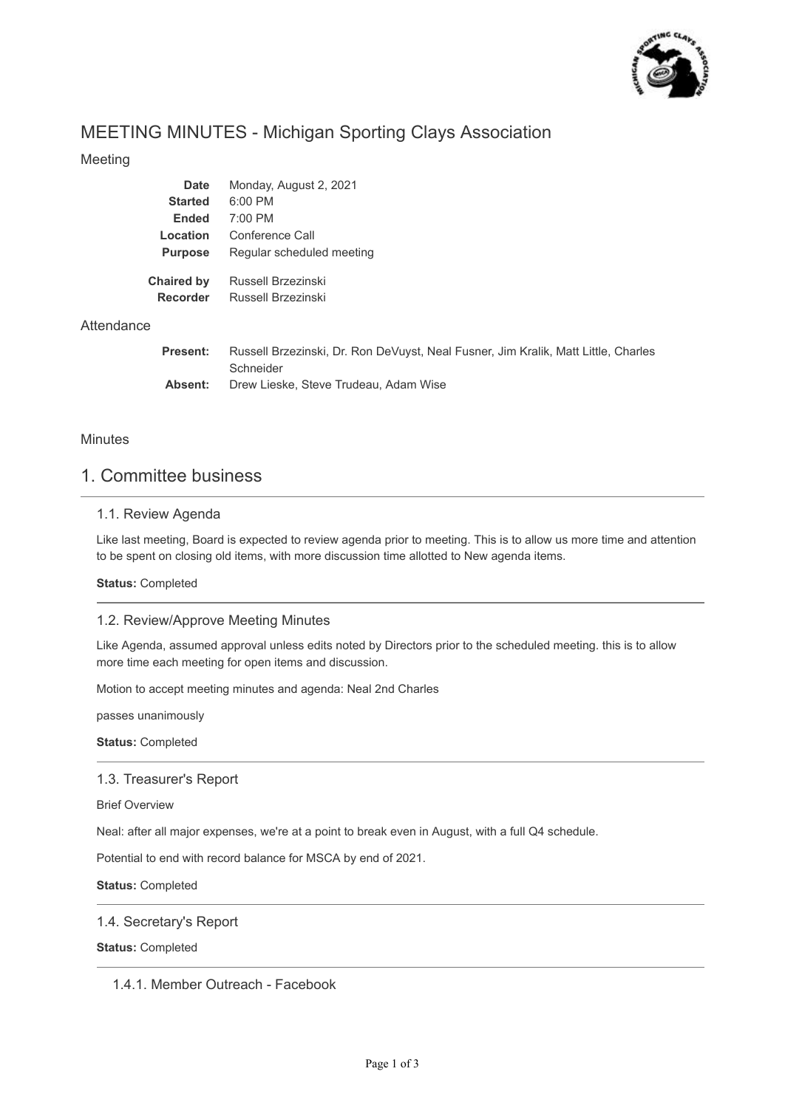

# MEETING MINUTES - Michigan Sporting Clays Association

## Meeting

| Russell Brzezinski, Dr. Ron DeVuyst, Neal Fusner, Jim Kralik, Matt Little, Charles |
|------------------------------------------------------------------------------------|
|                                                                                    |
|                                                                                    |

### **Minutes**

**Attendance** 

## 1. Committee business

### 1.1. Review Agenda

Like last meeting, Board is expected to review agenda prior to meeting. This is to allow us more time and attention to be spent on closing old items, with more discussion time allotted to New agenda items.

**Status:** Completed

#### 1.2. Review/Approve Meeting Minutes

Like Agenda, assumed approval unless edits noted by Directors prior to the scheduled meeting. this is to allow more time each meeting for open items and discussion.

Motion to accept meeting minutes and agenda: Neal 2nd Charles

passes unanimously

**Status:** Completed

#### 1.3. Treasurer's Report

Brief Overview

Neal: after all major expenses, we're at a point to break even in August, with a full Q4 schedule.

Potential to end with record balance for MSCA by end of 2021.

**Status:** Completed

#### 1.4. Secretary's Report

**Status:** Completed

1.4.1. Member Outreach - Facebook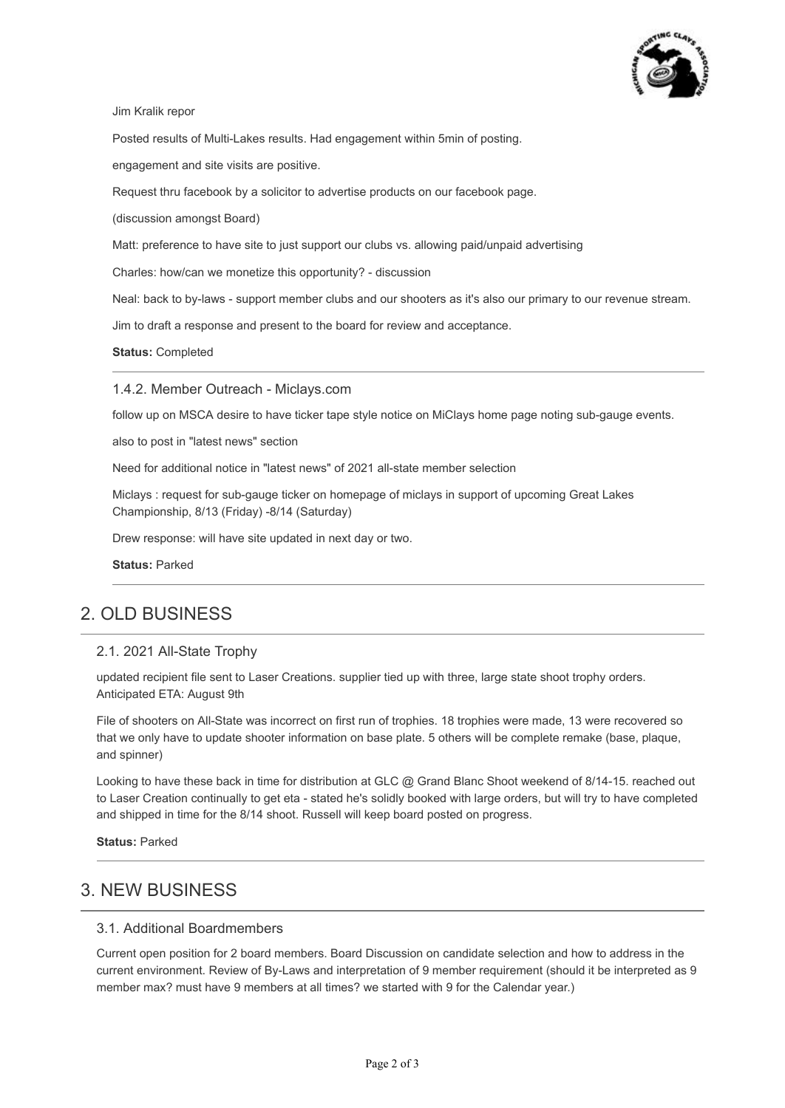

Jim Kralik repor

Posted results of Multi-Lakes results. Had engagement within 5min of posting.

engagement and site visits are positive.

Request thru facebook by a solicitor to advertise products on our facebook page.

(discussion amongst Board)

Matt: preference to have site to just support our clubs vs. allowing paid/unpaid advertising

Charles: how/can we monetize this opportunity? - discussion

Neal: back to by-laws - support member clubs and our shooters as it's also our primary to our revenue stream.

Jim to draft a response and present to the board for review and acceptance.

**Status:** Completed

1.4.2. Member Outreach - Miclays.com

follow up on MSCA desire to have ticker tape style notice on MiClays home page noting sub-gauge events.

also to post in "latest news" section

Need for additional notice in "latest news" of 2021 all-state member selection

Miclays : request for sub-gauge ticker on homepage of miclays in support of upcoming Great Lakes Championship, 8/13 (Friday) -8/14 (Saturday)

Drew response: will have site updated in next day or two.

**Status:** Parked

## 2. OLD BUSINESS

#### 2.1. 2021 All-State Trophy

updated recipient file sent to Laser Creations. supplier tied up with three, large state shoot trophy orders. Anticipated ETA: August 9th

File of shooters on All-State was incorrect on first run of trophies. 18 trophies were made, 13 were recovered so that we only have to update shooter information on base plate. 5 others will be complete remake (base, plaque, and spinner)

Looking to have these back in time for distribution at GLC @ Grand Blanc Shoot weekend of 8/14-15. reached out to Laser Creation continually to get eta - stated he's solidly booked with large orders, but will try to have completed and shipped in time for the 8/14 shoot. Russell will keep board posted on progress.

**Status:** Parked

## 3. NEW BUSINESS

### 3.1. Additional Boardmembers

Current open position for 2 board members. Board Discussion on candidate selection and how to address in the current environment. Review of By-Laws and interpretation of 9 member requirement (should it be interpreted as 9 member max? must have 9 members at all times? we started with 9 for the Calendar year.)